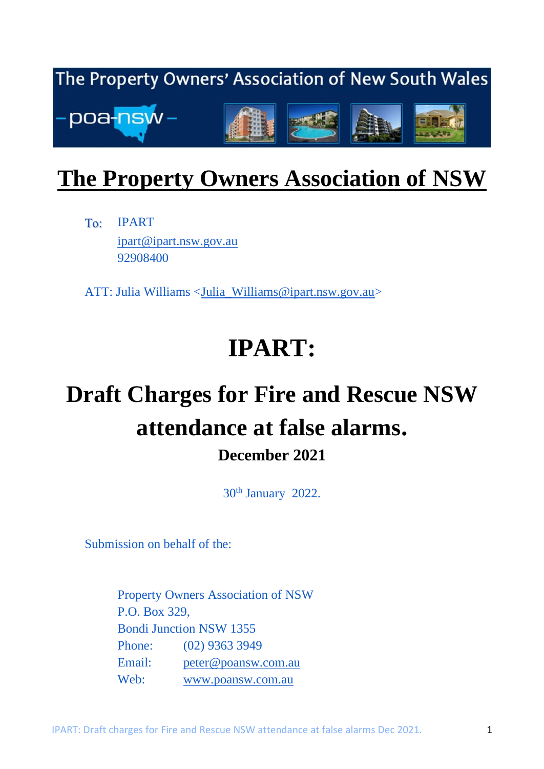

## **The Property Owners Association of NSW**

IPART To: [ipart@ipart.nsw.gov.au](mailto:ipart@ipart.nsw.gov.au) 92908400

ATT: Julia Williams [<Julia\\_Williams@ipart.nsw.gov.au>](mailto:Julia_Williams@ipart.nsw.gov.au)

# **IPART:**

# **Draft Charges for Fire and Rescue NSW attendance at false alarms. December 2021**

30<sup>th</sup> January 2022.

Submission on behalf of the:

Property Owners Association of NSW P.O. Box 329, Bondi Junction NSW 1355 Phone: (02) 9363 3949 Email: [peter@poansw.com.au](mailto:peter@poansw.com.au) Web: [www.poansw.com.au](http://www.poansw.com.au/)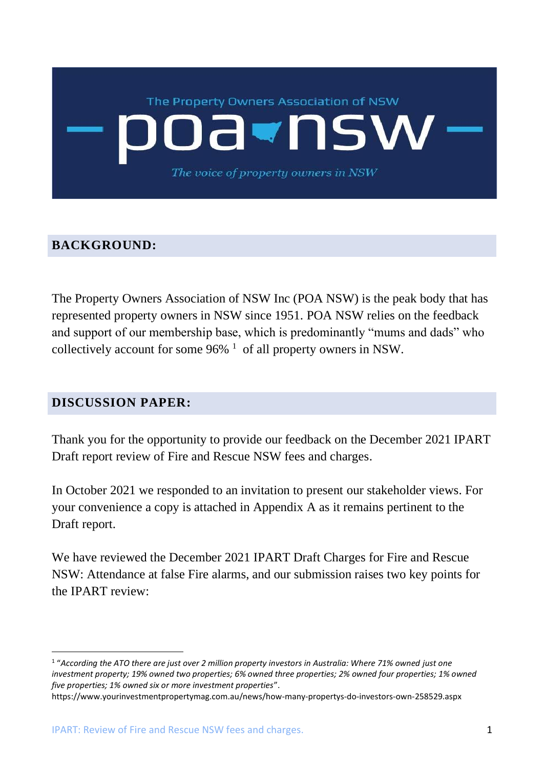# The Property Owners Association of NSW NS The voice of property owners in NSW

### **BACKGROUND:**

The Property Owners Association of NSW Inc (POA NSW) is the peak body that has represented property owners in NSW since 1951. POA NSW relies on the feedback and support of our membership base, which is predominantly "mums and dads" who collectively account for some  $96\%$ <sup>1</sup> of all property owners in NSW.

### **DISCUSSION PAPER:**

Thank you for the opportunity to provide our feedback on the December 2021 IPART Draft report review of Fire and Rescue NSW fees and charges.

In October 2021 we responded to an invitation to present our stakeholder views. For your convenience a copy is attached in Appendix A as it remains pertinent to the Draft report.

We have reviewed the December 2021 IPART Draft Charges for Fire and Rescue NSW: Attendance at false Fire alarms, and our submission raises two key points for the IPART review:

<sup>1</sup> "*According the ATO there are just over 2 million property investors in Australia: Where 71% owned just one*  investment property; 19% owned two properties; 6% owned three properties; 2% owned four properties; 1% owned *five properties; 1% owned six or more investment properties*".

https://www.yourinvestmentpropertymag.com.au/news/how-many-propertys-do-investors-own-258529.aspx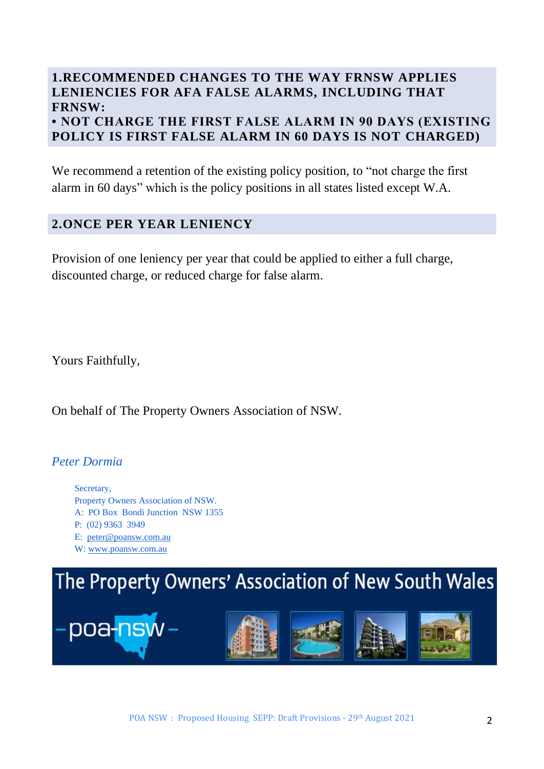### **1.RECOMMENDED CHANGES TO THE WAY FRNSW APPLIES LENIENCIES FOR AFA FALSE ALARMS, INCLUDING THAT FRNSW:**

**• NOT CHARGE THE FIRST FALSE ALARM IN 90 DAYS (EXISTING POLICY IS FIRST FALSE ALARM IN 60 DAYS IS NOT CHARGED)**

We recommend a retention of the existing policy position, to "not charge the first alarm in 60 days" which is the policy positions in all states listed except W.A.

### **2.ONCE PER YEAR LENIENCY**

Provision of one leniency per year that could be applied to either a full charge, discounted charge, or reduced charge for false alarm.

Yours Faithfully,

On behalf of The Property Owners Association of NSW.

### *Peter Dormia*

Secretary, Property Owners Association of NSW. A: PO Box Bondi Junction NSW 1355 P: (02) 9363 3949 E: [peter@poansw.com.au](mailto:peter@poansw.com.au)

W: [www.poansw.com.au](http://www.poansw.com.au/)

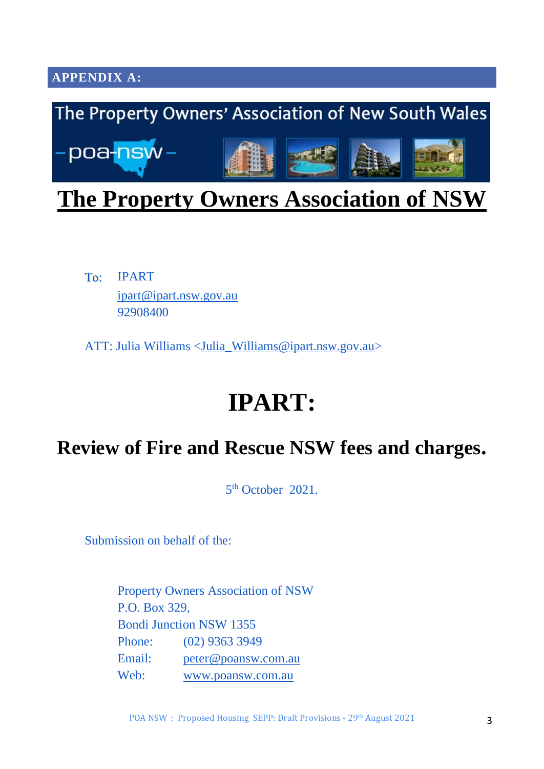**APPENDIX A:**



### **The Property Owners Association of NSW**

IPART To: [ipart@ipart.nsw.gov.au](mailto:ipart@ipart.nsw.gov.au) 92908400

ATT: Julia Williams [<Julia\\_Williams@ipart.nsw.gov.au>](mailto:Julia_Williams@ipart.nsw.gov.au)

# **IPART:**

### **Review of Fire and Rescue NSW fees and charges.**

5<sup>th</sup> October 2021.

Submission on behalf of the:

Property Owners Association of NSW P.O. Box 329, Bondi Junction NSW 1355 Phone: (02) 9363 3949 Email: [peter@poansw.com.au](mailto:peter@poansw.com.au) Web: [www.poansw.com.au](http://www.poansw.com.au/)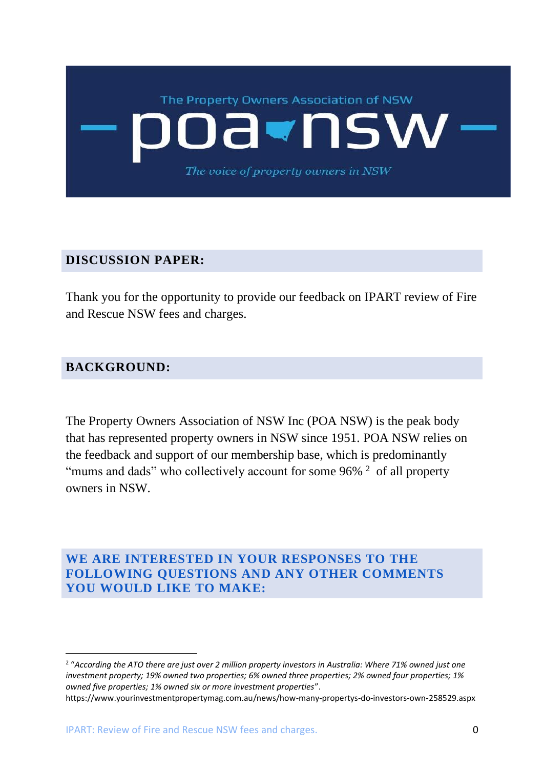

### **DISCUSSION PAPER:**

Thank you for the opportunity to provide our feedback on IPART review of Fire and Rescue NSW fees and charges.

### **BACKGROUND:**

The Property Owners Association of NSW Inc (POA NSW) is the peak body that has represented property owners in NSW since 1951. POA NSW relies on the feedback and support of our membership base, which is predominantly "mums and dads" who collectively account for some  $96\%$ <sup>2</sup> of all property owners in NSW.

**WE ARE INTERESTED IN YOUR RESPONSES TO THE FOLLOWING QUESTIONS AND ANY OTHER COMMENTS YOU WOULD LIKE TO MAKE:**

<sup>2</sup> "*According the ATO there are just over 2 million property investors in Australia: Where 71% owned just one investment property; 19% owned two properties; 6% owned three properties; 2% owned four properties; 1% owned five properties; 1% owned six or more investment properties*".

https://www.yourinvestmentpropertymag.com.au/news/how-many-propertys-do-investors-own-258529.aspx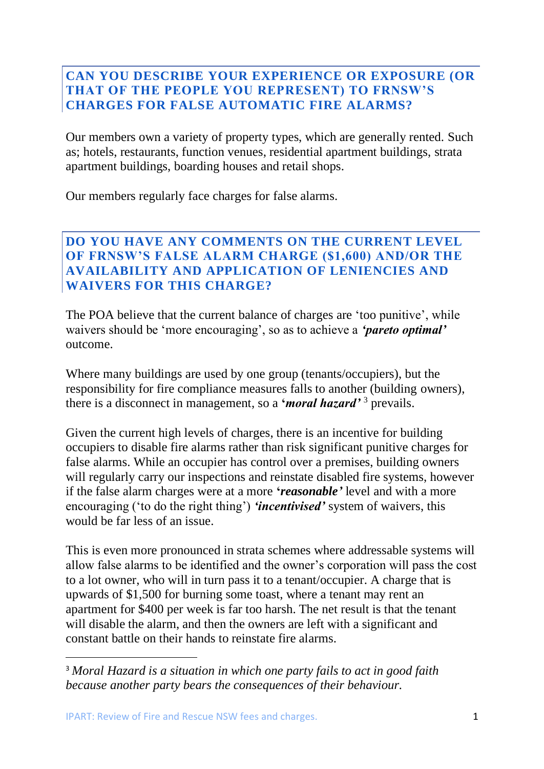### **CAN YOU DESCRIBE YOUR EXPERIENCE OR EXPOSURE (OR THAT OF THE PEOPLE YOU REPRESENT) TO FRNSW'S CHARGES FOR FALSE AUTOMATIC FIRE ALARMS?**

Our members own a variety of property types, which are generally rented. Such as; hotels, restaurants, function venues, residential apartment buildings, strata apartment buildings, boarding houses and retail shops.

Our members regularly face charges for false alarms.

### **DO YOU HAVE ANY COMMENTS ON THE CURRENT LEVEL OF FRNSW'S FALSE ALARM CHARGE (\$1,600) AND/OR THE AVAILABILITY AND APPLICATION OF LENIENCIES AND WAIVERS FOR THIS CHARGE?**

The POA believe that the current balance of charges are 'too punitive', while waivers should be 'more encouraging', so as to achieve a *'pareto optimal'* outcome.

Where many buildings are used by one group (tenants/occupiers), but the responsibility for fire compliance measures falls to another (building owners), there is a disconnect in management, so a **'***moral hazard'* <sup>3</sup> prevails.

Given the current high levels of charges, there is an incentive for building occupiers to disable fire alarms rather than risk significant punitive charges for false alarms. While an occupier has control over a premises, building owners will regularly carry our inspections and reinstate disabled fire systems, however if the false alarm charges were at a more **'***reasonable'* level and with a more encouraging ('to do the right thing') *'incentivised'* system of waivers, this would be far less of an issue.

This is even more pronounced in strata schemes where addressable systems will allow false alarms to be identified and the owner's corporation will pass the cost to a lot owner, who will in turn pass it to a tenant/occupier. A charge that is upwards of \$1,500 for burning some toast, where a tenant may rent an apartment for \$400 per week is far too harsh. The net result is that the tenant will disable the alarm, and then the owners are left with a significant and constant battle on their hands to reinstate fire alarms.

<sup>3</sup> *Moral Hazard is a situation in which one party fails to act in good faith because another party bears the consequences of their behaviour.*